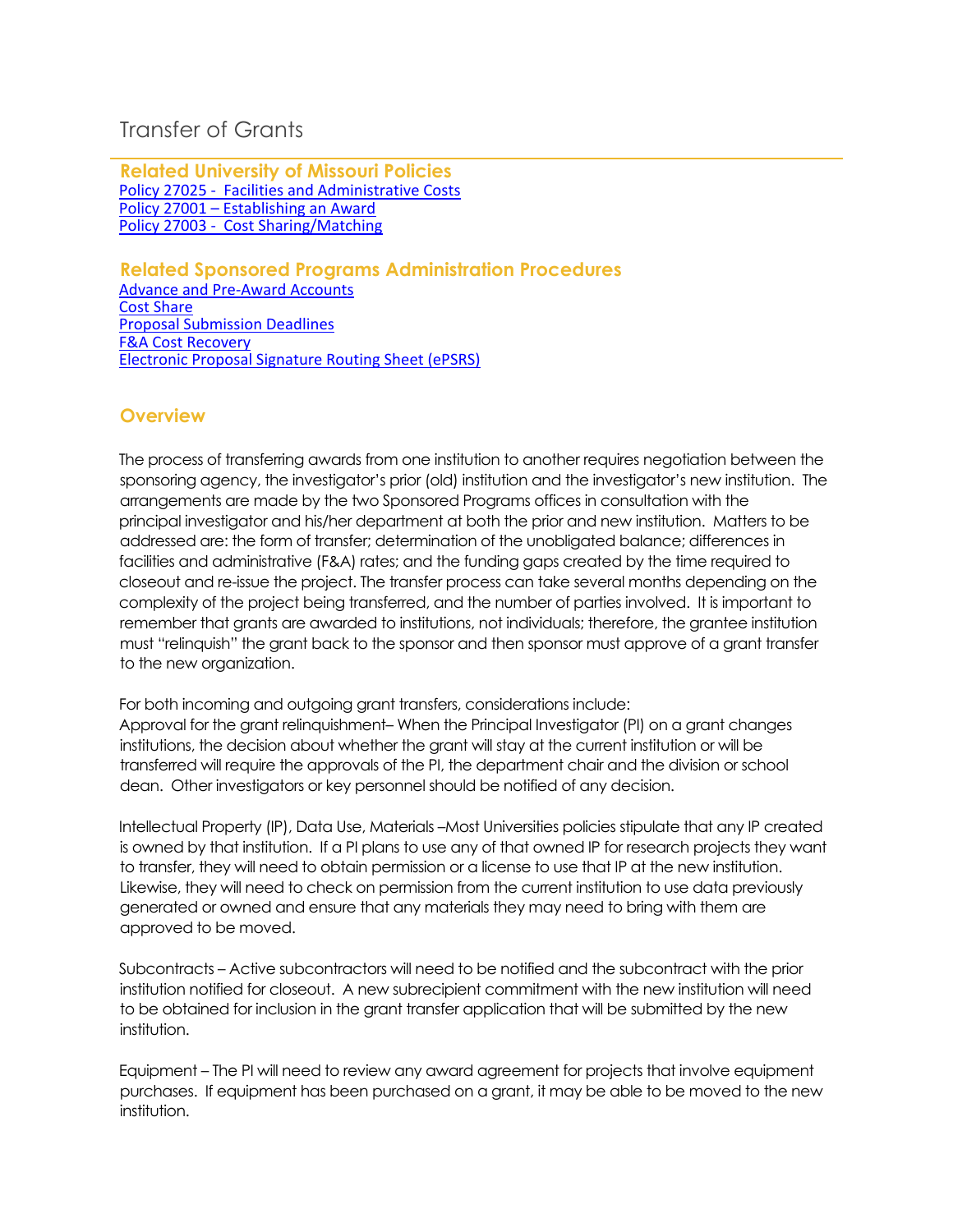## Transfer of Grants

**Related University of Missouri Policies** [Policy 27025 - Facilities and Administrative Costs](https://www.umsystem.edu/ums/policies/finance/facilities_and_administrative_costs) Policy 27001 – [Establishing an Award](https://www.umsystem.edu/ums/policies/finance/establishing_an_award) [Policy 27003 - Cost Sharing/Matching](https://www.umsystem.edu/ums/policies/finance/cost_sharing)

## **Related Sponsored Programs Administration Procedures**

[Advance and Pre-Award Accounts](https://docs.research.missouri.edu/ospa/sppg/OSPA_SPPG_Advance_Preaward_Account.pdf) [Cost Share](https://docs.research.missouri.edu/ospa/sppg/OSPA_SPPG_Cost_Share.pdf) [Proposal Submission Deadlines](https://docs.research.missouri.edu/ospa/sppg/OSPA_SPPG_Proposal_Submission_Deadlines.pdf) [F&A Cost Recovery](https://docs.research.missouri.edu/ospa/sppg/OSPA_SPPG_FA_Cost_Recovery.pdf) [Electronic Proposal Signature Routing Sheet \(ePSRS\)](https://docs.research.missouri.edu/ospa/sppg/OSPA_SPPG_ePSRS.pdf)

## **Overview**

The process of transferring awards from one institution to another requires negotiation between the sponsoring agency, the investigator's prior (old) institution and the investigator's new institution. The arrangements are made by the two Sponsored Programs offices in consultation with the principal investigator and his/her department at both the prior and new institution. Matters to be addressed are: the form of transfer; determination of the unobligated balance; differences in facilities and administrative (F&A) rates; and the funding gaps created by the time required to closeout and re-issue the project. The transfer process can take several months depending on the complexity of the project being transferred, and the number of parties involved. It is important to remember that grants are awarded to institutions, not individuals; therefore, the grantee institution must "relinquish" the grant back to the sponsor and then sponsor must approve of a grant transfer to the new organization.

For both incoming and outgoing grant transfers, considerations include: Approval for the grant relinquishment– When the Principal Investigator (PI) on a grant changes institutions, the decision about whether the grant will stay at the current institution or will be transferred will require the approvals of the PI, the department chair and the division or school dean. Other investigators or key personnel should be notified of any decision.

Intellectual Property (IP), Data Use, Materials –Most Universities policies stipulate that any IP created is owned by that institution. If a PI plans to use any of that owned IP for research projects they want to transfer, they will need to obtain permission or a license to use that IP at the new institution. Likewise, they will need to check on permission from the current institution to use data previously generated or owned and ensure that any materials they may need to bring with them are approved to be moved.

Subcontracts – Active subcontractors will need to be notified and the subcontract with the prior institution notified for closeout. A new subrecipient commitment with the new institution will need to be obtained for inclusion in the grant transfer application that will be submitted by the new institution.

Equipment – The PI will need to review any award agreement for projects that involve equipment purchases. If equipment has been purchased on a grant, it may be able to be moved to the new institution.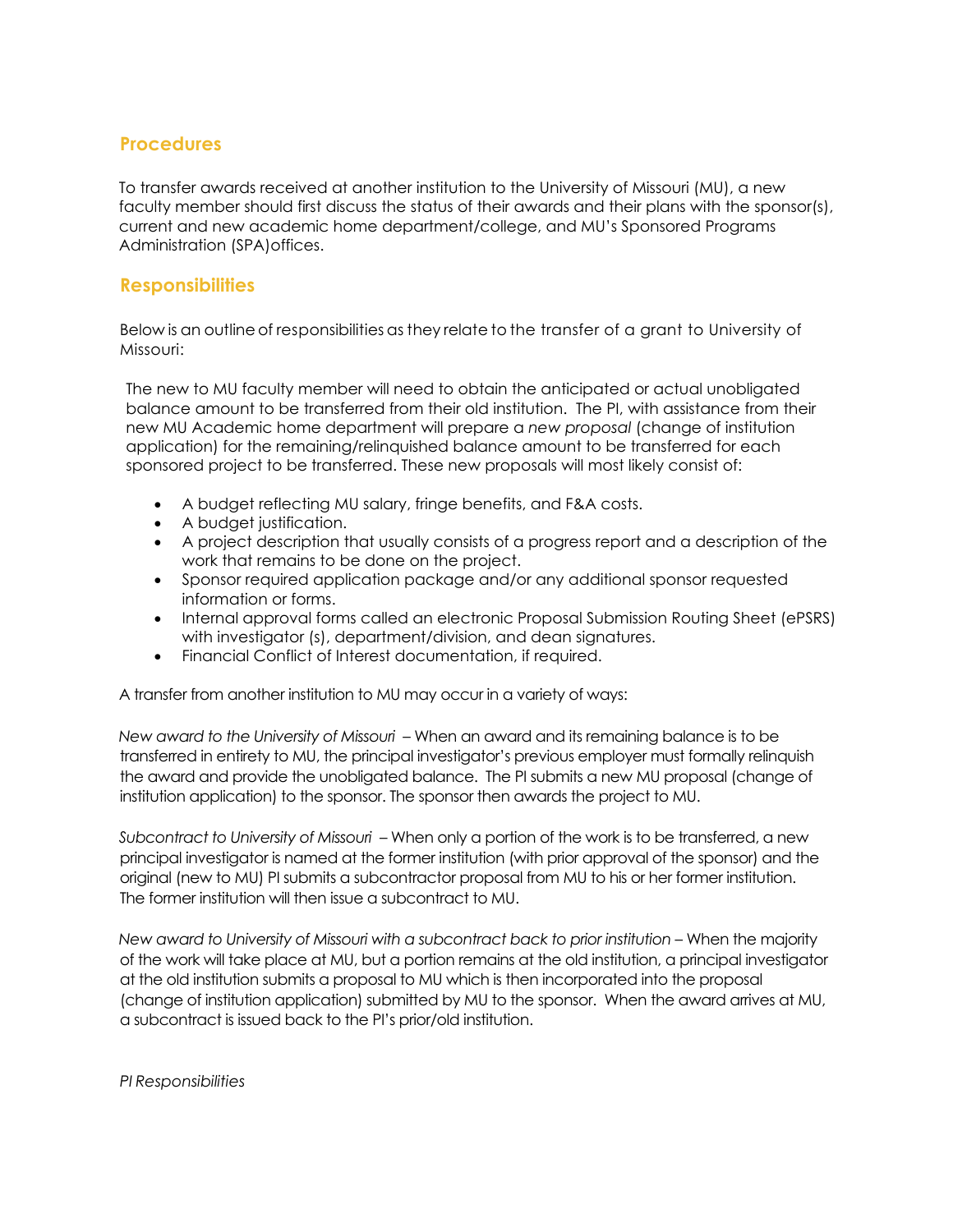## **Procedures**

To transfer awards received at another institution to the University of Missouri (MU), a new faculty member should first discuss the status of their awards and their plans with the sponsor(s), current and new academic home department/college, and MU's Sponsored Programs Administration (SPA)offices.

## **Responsibilities**

Below is an outline of responsibilities as they relate to the transfer of a grant to University of Missouri:

The new to MU faculty member will need to obtain the anticipated or actual unobligated balance amount to be transferred from their old institution. The PI, with assistance from their new MU Academic home department will prepare a *new proposal* (change of institution application) for the remaining/relinquished balance amount to be transferred for each sponsored project to be transferred. These new proposals will most likely consist of:

- A budget reflecting MU salary, fringe benefits, and F&A costs.
- A budget justification.
- A project description that usually consists of a progress report and a description of the work that remains to be done on the project.
- Sponsor required application package and/or any additional sponsor requested information or forms.
- Internal approval forms called an electronic Proposal Submission Routing Sheet (ePSRS) with investigator (s), department/division, and dean signatures.
- Financial Conflict of Interest documentation, if required.

A transfer from another institution to MU may occur in a variety of ways:

*New award to the University of Missouri* – When an award and its remaining balance is to be transferred in entirety to MU, the principal investigator's previous employer must formally relinquish the award and provide the unobligated balance. The PI submits a new MU proposal (change of institution application) to the sponsor. The sponsor then awards the project to MU.

*Subcontract to University of Missouri* – When only a portion of the work is to be transferred, a new principal investigator is named at the former institution (with prior approval of the sponsor) and the original (new to MU) PI submits a subcontractor proposal from MU to his or her former institution. The former institution will then issue a subcontract to MU.

*New award to University of Missouri with a subcontract back to prior institution* – When the majority of the work will take place at MU, but a portion remains at the old institution, a principal investigator at the old institution submits a proposal to MU which is then incorporated into the proposal (change of institution application) submitted by MU to the sponsor. When the award arrives at MU, a subcontract is issued back to the PI's prior/old institution.

*PI Responsibilities*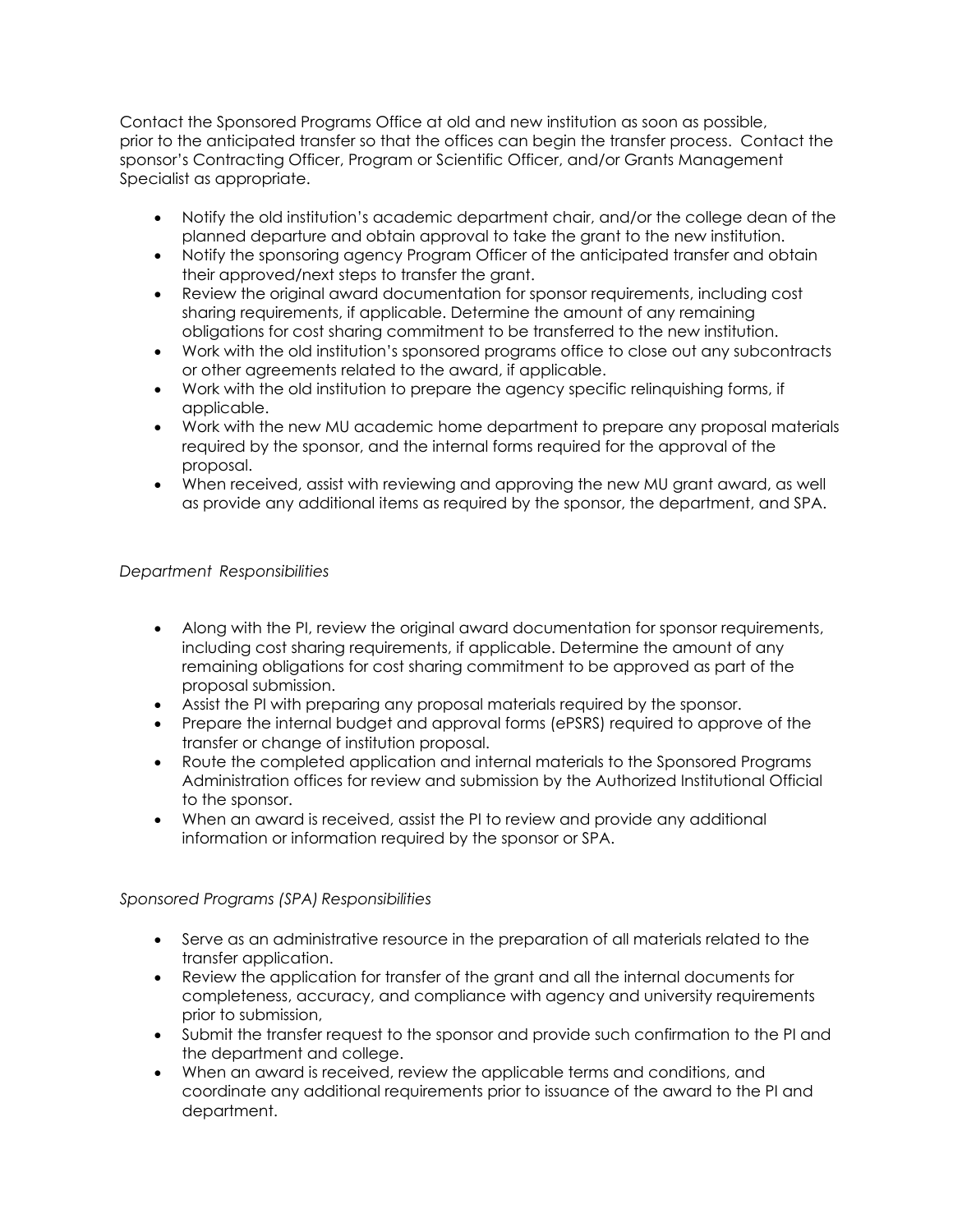Contact the Sponsored Programs Office at old and new institution as soon as possible, prior to the anticipated transfer so that the offices can begin the transfer process. Contact the sponsor's Contracting Officer, Program or Scientific Officer, and/or Grants Management Specialist as appropriate.

- Notify the old institution's academic department chair, and/or the college dean of the planned departure and obtain approval to take the grant to the new institution.
- Notify the sponsoring agency Program Officer of the anticipated transfer and obtain their approved/next steps to transfer the grant.
- Review the original award documentation for sponsor requirements, including cost sharing requirements, if applicable. Determine the amount of any remaining obligations for cost sharing commitment to be transferred to the new institution.
- Work with the old institution's sponsored programs office to close out any subcontracts or other agreements related to the award, if applicable.
- Work with the old institution to prepare the agency specific relinquishing forms, if applicable.
- Work with the new MU academic home department to prepare any proposal materials required by the sponsor, and the internal forms required for the approval of the proposal.
- When received, assist with reviewing and approving the new MU grant award, as well as provide any additional items as required by the sponsor, the department, and SPA.

#### *Department Responsibilities*

- Along with the PI, review the original award documentation for sponsor requirements, including cost sharing requirements, if applicable. Determine the amount of any remaining obligations for cost sharing commitment to be approved as part of the proposal submission.
- Assist the PI with preparing any proposal materials required by the sponsor.
- Prepare the internal budget and approval forms (ePSRS) required to approve of the transfer or change of institution proposal.
- Route the completed application and internal materials to the Sponsored Programs Administration offices for review and submission by the Authorized Institutional Official to the sponsor.
- When an award is received, assist the PI to review and provide any additional information or information required by the sponsor or SPA.

## *Sponsored Programs (SPA) Responsibilities*

- Serve as an administrative resource in the preparation of all materials related to the transfer application.
- Review the application for transfer of the grant and all the internal documents for completeness, accuracy, and compliance with agency and university requirements prior to submission,
- Submit the transfer request to the sponsor and provide such confirmation to the PI and the department and college.
- When an award is received, review the applicable terms and conditions, and coordinate any additional requirements prior to issuance of the award to the PI and department.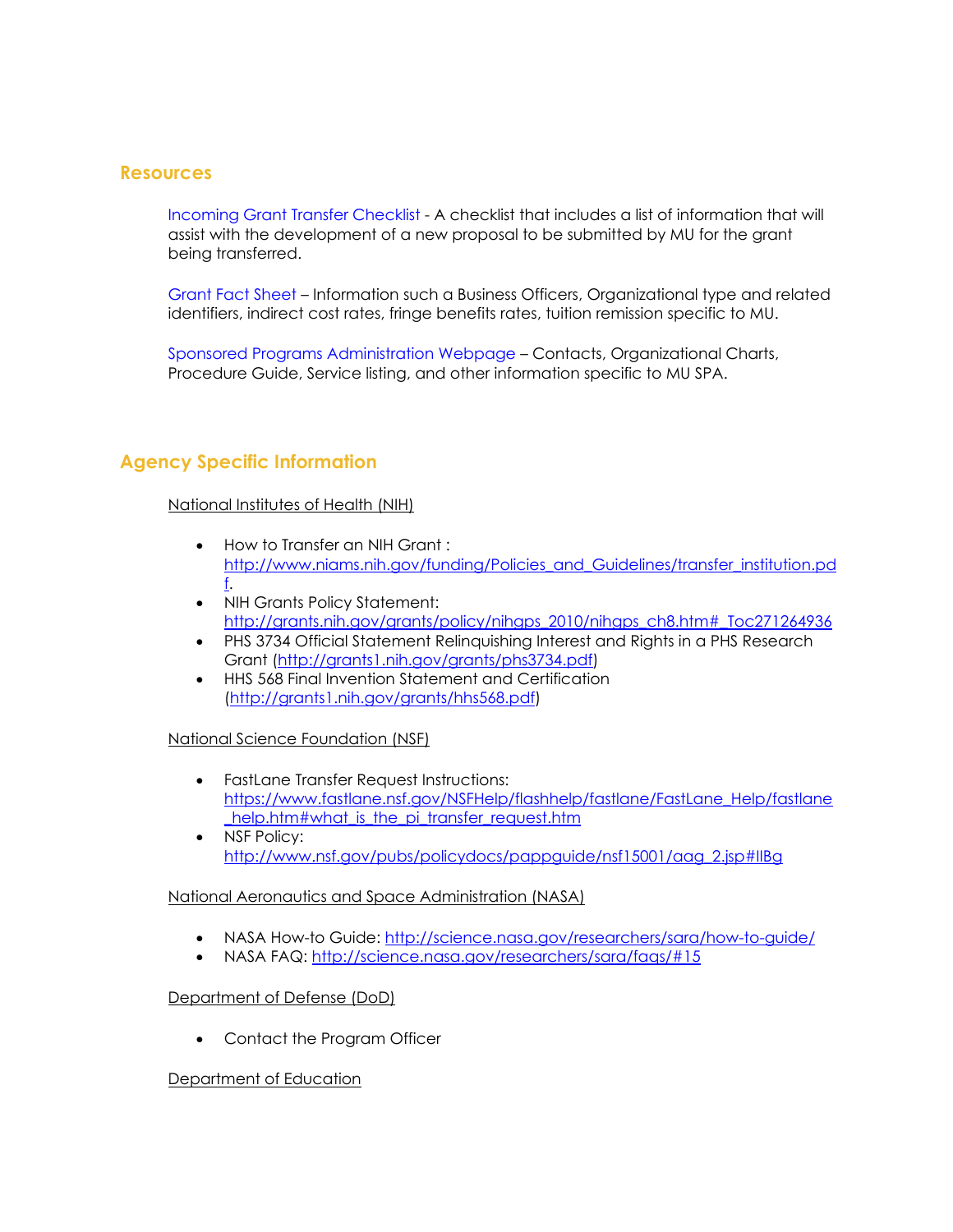## **Resources**

[Incoming Grant Transfer Checklist](https://docs.research.missouri.edu/ospa/Incoming_Grant_Transfer_Checklist_Form.pdf) - A checklist that includes a list of information that will assist with the development of a new proposal to be submitted by MU for the grant being transferred.

[Grant Fact Sheet](https://docs.research.missouri.edu/ospa/grantfactsheet.pdf) – Information such a Business Officers, Organizational type and related identifiers, indirect cost rates, fringe benefits rates, tuition remission specific to MU.

[Sponsored Programs Administration Webpage](https://research.missouri.edu/sponsored-programs-administration) – Contacts, Organizational Charts, Procedure Guide, Service listing, and other information specific to MU SPA.

## **Agency Specific Information**

#### National Institutes of Health (NIH)

- How to Transfer an NIH Grant : [http://www.niams.nih.gov/funding/Policies\\_and\\_Guidelines/transfer\\_institution.pd](http://www.niams.nih.gov/funding/Policies_and_Guidelines/transfer_institution.pdf) [f.](http://www.niams.nih.gov/funding/Policies_and_Guidelines/transfer_institution.pdf)
- NIH Grants Policy Statement: [http://grants.nih.gov/grants/policy/nihgps\\_2010/nihgps\\_ch8.htm#\\_Toc271264936](http://grants.nih.gov/grants/policy/nihgps_2010/nihgps_ch8.htm#_Toc271264936)
- PHS 3734 Official Statement Relinquishing Interest and Rights in a PHS Research Grant [\(http://grants1.nih.gov/grants/phs3734.pdf\)](http://grants1.nih.gov/grants/phs3734.pdf)
- HHS 568 Final Invention Statement and Certification [\(http://grants1.nih.gov/grants/hhs568.pdf\)](http://grants1.nih.gov/grants/hhs568.pdf)

#### National Science Foundation (NSF)

- FastLane Transfer Request Instructions: [https://www.fastlane.nsf.gov/NSFHelp/flashhelp/fastlane/FastLane\\_Help/fastlane](https://www.fastlane.nsf.gov/NSFHelp/flashhelp/fastlane/FastLane_Help/fastlane_help.htm#what_is_the_pi_transfer_request.htm) help.htm#what is the pi\_transfer request.htm
- NSF Policy: [http://www.nsf.gov/pubs/policydocs/pappguide/nsf15001/aag\\_2.jsp#IIBg](http://www.nsf.gov/pubs/policydocs/pappguide/nsf15001/aag_2.jsp#IIBg)

#### National Aeronautics and Space Administration (NASA)

- NASA How-to Guide:<http://science.nasa.gov/researchers/sara/how-to-guide/>
- NASA FAQ:<http://science.nasa.gov/researchers/sara/faqs/#15>

#### Department of Defense (DoD)

• Contact the Program Officer

#### Department of Education